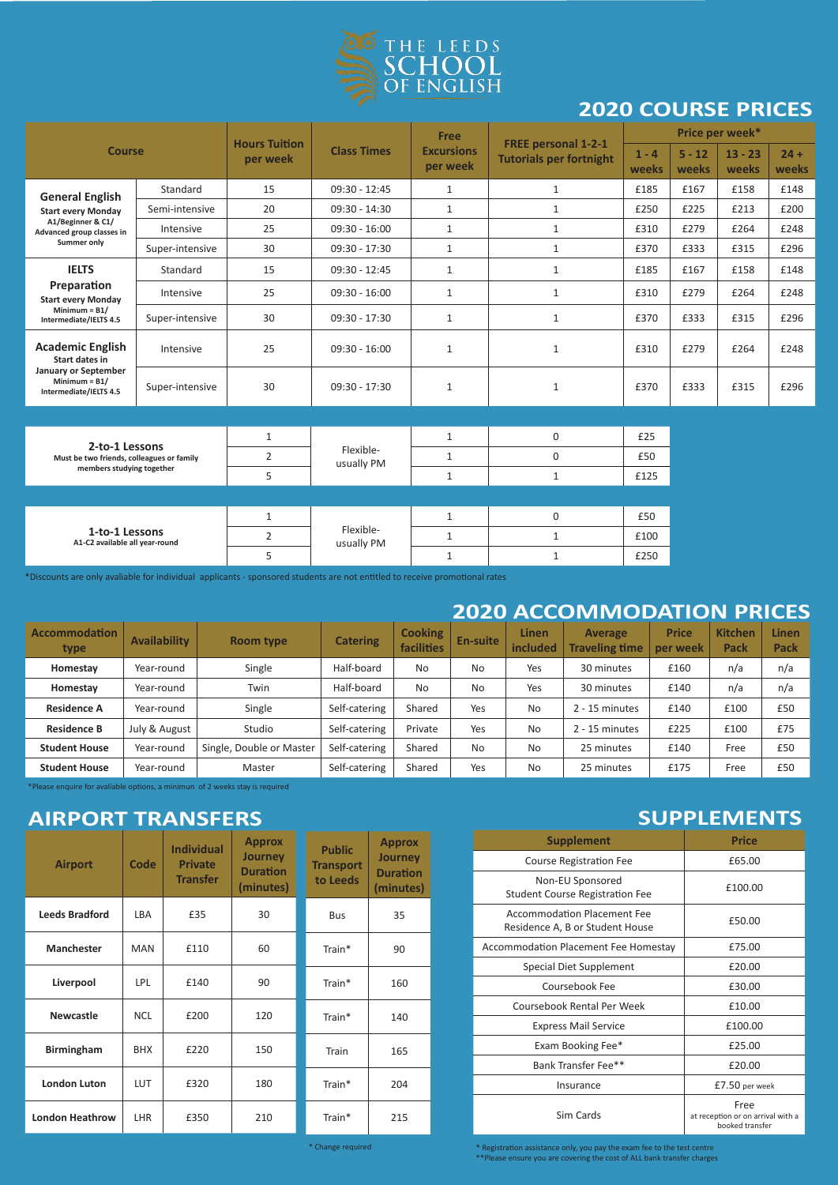

## **2020 COURSE PRICES**

| <b>Course</b>                                                            |                 | <b>Hours Tuition</b> |                         | Free                          |                                                              | Price per week*  |                   |                    |                 |
|--------------------------------------------------------------------------|-----------------|----------------------|-------------------------|-------------------------------|--------------------------------------------------------------|------------------|-------------------|--------------------|-----------------|
|                                                                          |                 | per week             | <b>Class Times</b>      | <b>Excursions</b><br>per week | <b>FREE personal 1-2-1</b><br><b>Tutorials per fortnight</b> | $1 - 4$<br>weeks | $5 - 12$<br>weeks | $13 - 23$<br>weeks | $24 +$<br>weeks |
| <b>General English</b>                                                   | Standard        | 15                   | $09:30 - 12:45$         | $\mathbf{1}$                  | $\mathbf{1}$                                                 | £185             | £167              | £158               | £148            |
| <b>Start every Monday</b>                                                | Semi-intensive  | 20                   | 09:30 - 14:30           | $\mathbf{1}$                  | $\mathbf{1}$                                                 | £250             | £225              | £213               | £200            |
| A1/Beginner & C1/<br>Advanced group classes in                           | Intensive       | 25                   | $09:30 - 16:00$         | $\mathbf{1}$                  | $\mathbf{1}$                                                 | £310             | £279              | £264               | £248            |
| Summer only                                                              | Super-intensive | 30                   | $09:30 - 17:30$         | $\mathbf{1}$                  | $\mathbf{1}$                                                 | £370             | £333              | £315               | £296            |
| <b>IELTS</b>                                                             | Standard        | 15                   | $09:30 - 12:45$         | $\mathbf{1}$                  | $\mathbf{1}$                                                 | £185             | £167              | £158               | £148            |
| Preparation<br><b>Start every Monday</b>                                 | Intensive       | 25                   | $09:30 - 16:00$         | $\mathbf{1}$                  | $\mathbf 1$                                                  | £310             | £279              | £264               | £248            |
| Minimum = $B1/$<br>Intermediate/IELTS 4.5                                | Super-intensive | 30                   | $09:30 - 17:30$         | $\mathbf{1}$                  | $\mathbf{1}$                                                 | £370             | £333              | £315               | £296            |
| <b>Academic English</b><br>Start dates in                                | Intensive       | 25                   | $09:30 - 16:00$         | $\mathbf{1}$                  | $\mathbf{1}$                                                 | £310             | £279              | £264               | £248            |
| <b>January or September</b><br>Minimum = $B1/$<br>Intermediate/IELTS 4.5 | Super-intensive | 30                   | $09:30 - 17:30$         | $\mathbf{1}$                  | $\mathbf{1}$                                                 | £370             | £333              | £315               | £296            |
|                                                                          |                 |                      |                         |                               |                                                              |                  |                   |                    |                 |
| 2-to-1 Lessons                                                           |                 | $\mathbf{1}$         |                         | $\mathbf{1}$                  | $\mathbf 0$                                                  | £25              |                   |                    |                 |
| Must be two friends, colleagues or family                                |                 | $\overline{2}$       | Flexible-<br>usually PM | $\mathbf{1}$                  | $\mathbf 0$                                                  | £50              |                   |                    |                 |
| members studying together                                                |                 | 5                    |                         | $\mathbf{1}$                  | $\mathbf{1}$                                                 | £125             |                   |                    |                 |
|                                                                          |                 |                      |                         |                               |                                                              |                  |                   |                    |                 |
|                                                                          |                 | $\mathbf{1}$         |                         | $\mathbf{1}$                  | $\mathbf 0$                                                  | £50              |                   |                    |                 |
| 1-to-1 Lessons<br>A1-C2 available all year-round                         |                 | $\overline{2}$       | Flexible-<br>usually PM | $\mathbf{1}$                  | $\mathbf{1}$                                                 | £100             |                   |                    |                 |
|                                                                          |                 |                      |                         |                               |                                                              |                  |                   |                    |                 |

\*Discounts are only avaliable for individual applicants - sponsored students are not entitled to receive promotional rates

### **2020 ACCOMMODATION PRICES**

| <b>Accommodation</b><br>type | <b>Availability</b> | <b>Room type</b>         | <b>Catering</b> | <b>Cooking</b><br>facilities | En-suite  | Linen<br>included | Average<br><b>Traveling time</b> | <b>Price</b><br>per week | <b>Kitchen</b><br>Pack | Linen<br>Pack |
|------------------------------|---------------------|--------------------------|-----------------|------------------------------|-----------|-------------------|----------------------------------|--------------------------|------------------------|---------------|
| Homestay                     | Year-round          | Single                   | Half-board      | <b>No</b>                    | <b>No</b> | Yes               | 30 minutes                       | £160                     | n/a                    | n/a           |
| Homestav                     | Year-round          | Twin                     | Half-board      | No                           | <b>No</b> | Yes               | 30 minutes                       | £140                     | n/a                    | n/a           |
| <b>Residence A</b>           | Year-round          | Single                   | Self-catering   | Shared                       | Yes       | <b>No</b>         | 2 - 15 minutes                   | £140                     | £100                   | £50           |
| <b>Residence B</b>           | July & August       | Studio                   |                 | Private                      | Yes       | <b>No</b>         | 2 - 15 minutes                   | £225                     | £100                   | £75           |
| <b>Student House</b>         | Year-round          | Single, Double or Master | Self-catering   | Shared                       | No        | <b>No</b>         | 25 minutes                       | £140                     | Free                   | £50           |
| <b>Student House</b>         | Year-round          | Master                   | Self-catering   | Shared                       | Yes       | <b>No</b>         | 25 minutes                       | £175                     | Free                   | £50           |

5 | 1 | 1 | 1 | £250

\*Please enquire for avaliable options, a minimun of 2 weeks stay is required

## **AIRPORT TRANSFERS**

| <b>Airport</b>         | Code       | <b>Individual</b><br><b>Private</b><br><b>Transfer</b> | <b>Approx</b><br><b>Journey</b><br><b>Duration</b><br>(minutes) | <b>Public</b><br><b>Transport</b><br>to Leeds | <b>Approx</b><br><b>Journey</b><br><b>Duration</b><br>(minutes) |  |
|------------------------|------------|--------------------------------------------------------|-----------------------------------------------------------------|-----------------------------------------------|-----------------------------------------------------------------|--|
| <b>Leeds Bradford</b>  | LBA        | £35                                                    | 30                                                              | <b>Bus</b>                                    | 35                                                              |  |
| <b>Manchester</b>      | <b>MAN</b> | £110                                                   | 60                                                              | Train*                                        | 90                                                              |  |
| Liverpool              | <b>LPL</b> | £140                                                   | 90                                                              | Train*                                        | 160                                                             |  |
| <b>Newcastle</b>       | <b>NCL</b> | £200                                                   | 120                                                             | Train*                                        | 140                                                             |  |
| <b>Birmingham</b>      | <b>BHX</b> | £220                                                   | 150                                                             | Train                                         | 165                                                             |  |
| <b>London Luton</b>    | <b>LUT</b> | £320                                                   | 180                                                             | Train*                                        | 204                                                             |  |
| <b>London Heathrow</b> | <b>LHR</b> | £350                                                   | 210                                                             | Train*                                        | 215                                                             |  |

### **SUPPLEMENTS**

| <b>Supplement</b>                                              | <b>Price</b>                                                 |
|----------------------------------------------------------------|--------------------------------------------------------------|
| <b>Course Registration Fee</b>                                 | £65.00                                                       |
| Non-EU Sponsored<br><b>Student Course Registration Fee</b>     | £100.00                                                      |
| Accommodation Placement Fee<br>Residence A, B or Student House | £50.00                                                       |
| Accommodation Placement Fee Homestay                           | £75.00                                                       |
| Special Diet Supplement                                        | £20.00                                                       |
| Coursebook Fee                                                 | £30.00                                                       |
| Coursebook Rental Per Week                                     | £10.00                                                       |
| <b>Express Mail Service</b>                                    | £100.00                                                      |
| Exam Booking Fee*                                              | £25.00                                                       |
| Bank Transfer Fee**                                            | £20.00                                                       |
| Insurance                                                      | £7.50 per week                                               |
| Sim Cards                                                      | Free<br>at reception or on arrival with a<br>booked transfer |

\* Change required

\* Registration assistance only, you pay the exam fee to the test centre \*\*Please ensure you are covering the cost of ALL bank transfer charges